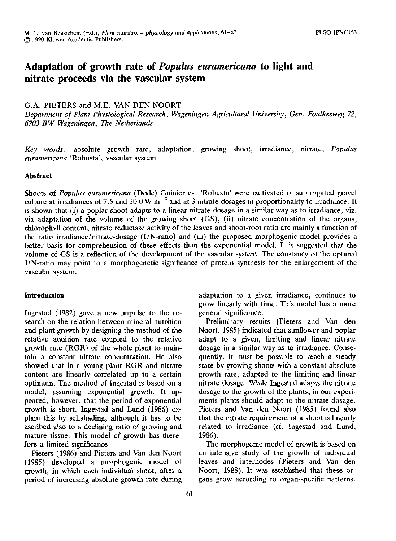# Adaptation of growth rate of *Populus euramericana* to light and nitrate proceeds via the vascular system

## G.A. PIETERS and M.E. VAN DEN NOORT

*Department of Plant Physiological Research, Wageningen Agricultural University, Gen. Foulkesweg 72, 6703 BW Wageningen, The Netherlands* 

Key words: absolute growth rate, adaptation, growing shoot, irradiance, nitrate, Popu *euramericana* 'Robusta', vascular system

### **Abstract**

Shoots of *Populus euramericana* (Dode) Guinier cv. 'Robusta' were cultivated in subirrigated gravel culture at irradiances of 7.5 and 30.0 W m<sup>-2</sup> and at 3 nitrate dosages in proportionality to ir is shown that (i) a poplar shoot adapts to a linear nitrate dosage in a similar way as to irradiance, viz. via adaptation of the volume of the growing shoot (GS), (ii) nitrate concentration of the organs, chlorophyll content, nitrate reductase activity of the leaves and shoot-root ratio are mainly a function of the ratio irradiance/nitrate-dosage (I/N-ratio) and (iii) the proposed morphogenic model provides a better basis for comprehension of these effects than the exponential model. It is suggested that the volume of GS is a reflection of the development of the vascular system. The constancy of the optimal I/N-ratio may point to a morphogenetic significance of protein synthesis for the enlargement of the vascular system.

### **Introduction**

Ingestad (1982) gave a new impulse to the research on the relation between mineral nutrition and plant growth by designing the method of the relative addition rate coupled to the relative growth rate (RGR) of the whole plant to maintain a constant nitrate concentration. He also showed that in a young plant RGR and nitrate content are linearly correlated up to a certain optimum. The method of Ingestad is based on a model, assuming exponential growth. It appeared, however, that the period of exponential growth is short. Ingestad and Lund (1986) explain this by selfshading, although it has to be ascribed also to a declining ratio of growing and mature tissue. This model of growth has therefore a limited significance.

Pieters (1986) and Pieters and Van den Noort (1985) developed a morphogenic model of growth, in which each individual shoot, after a period of increasing absolute growth rate during

adaptation to a given irradiance, continues to grow linearly with time. This model has a more general significance.

Preliminary results (Pieters and Van den Noort, 1985) indicated that sunflower and poplar adapt to a given, limiting and linear nitrate dosage in a similar way as to irradiance. Consequently, it must be possible to reach a steady state by growing shoots with a constant absolute growth rate, adapted to the limiting and linear nitrate dosage. While Ingestad adapts the nitrate dosage to the growth of the plants, in our experiments plants should adapt to the nitrate dosage. Pieters and Van den Noort (1985) found also that the nitrate requirement of a shoot is linearly related to irradiance (cf. Ingestad and Lund, 1986).

The morphogenic model of growth is based on an intensive study of the growth of individual leaves and internodes (Pieters and Van den Noort, 1988). It was established that these organs grow according to organ-specific patterns.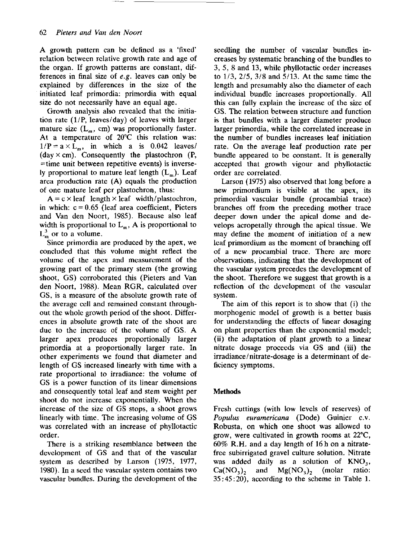A growth pattern can be defined as a 'fixed' relation between relative growth rate and age of the organ. If growth patterns are constant, differences in final size of *e.g.* leaves can only be explained by differences in the size of the initiated leaf primordia: primordia with equal size do not necessarily have an equal age.

Growth analysis also revealed that the initiation rate (1/P, leaves/day) of leaves with larger mature size  $(L_m, cm)$  was proportionally faster. At a temperature of 20°C this relation was:  $1/P = a \times L_m$ , in which a is 0.042 leaves/  $(day \times cm)$ . Consequently the plastochron (P, =time unit between repetitive events) is inversely proportional to mature leaf length  $(L_m)$ . Leaf area production rate (A) equals the production of one mature leaf per plastochron, thus:

 $A = c \times leaf$  length  $\times leaf$  width/plastochron, in which:  $c = 0.65$  (leaf area coefficient, Pieters and Van den Noort, 1985). Because also leaf width is proportional to  $L_m$ , A is proportional to  $L^3$  or to a volume.

Since primordia are produced by the apex, we concluded that this volume might reflect the volume of the apex and measurement of the growing part of the primary stem (the growing shoot, GS) corroborated this (Pieters and Van den Noort, 1988). Mean RGR, calculated over GS, is a measure of the absolute growth rate of the average cell and remained constant throughout the whole growth period of the shoot. Differences in absolute growth rate of the shoot are due to the increase of the volume of GS. A larger apex produces proportionally larger primordia at a proportionally larger rate. In other experiments we found that diameter and length of GS increased linearly with time with a rate proportional to irradiance: the volume of GS is a power function of its linear dimensions and consequently total leaf and stem weight per shoot do not increase exponentially. When the increase of the size of GS stops, a shoot grows linearly with time. The increasing volume of GS was correlated with an increase of phyllotactic order.

There is a striking resemblance between the development of GS and that of the vascular system as described by Larson (1975, 1977, 1980). In a seed the vascular system contains two vascular bundles. During the development of the seedling the number of vascular bundles increases by systematic branching of the bundles to 3, 5, 8 and 13, while phyllotactic order increases to 1/3, 2/5, 3/8 and 5/13. At the same time the length and presumably also the diameter of each individual bundle increases proportionally. All this can fully explain the increase of the size of GS. The relation between structure and function is that bundles with a larger diameter produce larger primordia, while the correlated increase in the number of bundles increases leaf initiation rate. On the average leaf production rate per bundle appeared to be constant. It is generally accepted that growth vigour and phyllotactic order are correlated.

Larson (1975) also observed that long before a new primordium is visible at the apex, its primordial vascular bundle (procambial trace) branches off from the preceding mother trace deeper down under the apical dome and develops acropetally through the apical tissue. We may define the moment of initiation of a new leaf primordium as the moment of branching off of a new procambial trace. There are more observations, indicating that the development of the vascular system precedes the development of the shoot. Therefore we suggest that growth is a reflection of the development of the vascular system.

The aim of this report is to show that (i) the morphogenic model of growth is a better basis for understanding the effects of linear dosaging on plant properties than the exponential model; (ii) the adaptation of plant growth to a linear nitrate dosage proceeds via GS and (iii) the irradiance/nitrate-dosage is a determinant of deficiency symptoms.

# **Methods**

Fresh cuttings (with low levels of reserves) of *Populus euramericana* (Dode) Guinier c.v. Robusta, on which one shoot was allowed to grow, were cultivated in growth rooms at 22°C, 60% R.H. and a day length of 16 h on a nitratefree subirrigated gravel culture solution. Nitrate was added daily as a solution of  $KNO<sub>3</sub>$ ,  $Ca(NO<sub>3</sub>)<sub>2</sub>$  and  $Mg(NO<sub>3</sub>)<sub>2</sub>$  (molar ratio: 35:45:20), according to the scheme in Table 1.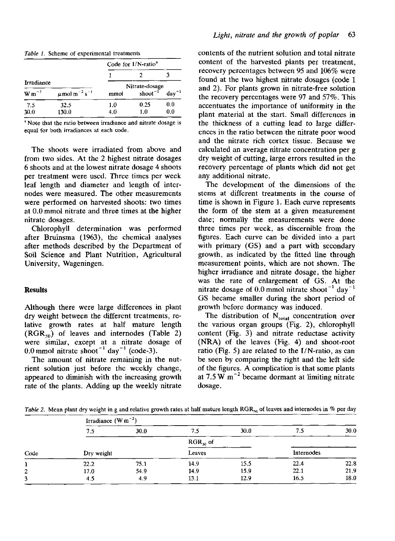|                   |                                           | Code for I/N-ratio <sup>a</sup> |                                       |               |  |
|-------------------|-------------------------------------------|---------------------------------|---------------------------------------|---------------|--|
| <b>Irradiance</b> |                                           |                                 |                                       |               |  |
|                   |                                           |                                 |                                       |               |  |
| $W m^{-2}$        | $\mu$ mol m <sup>-2</sup> s <sup>-1</sup> | mmol                            | Nitrate-dosage<br>shoot <sup>-1</sup> | $\frac{1}{2}$ |  |
| 7.5               | 32.5                                      | 1.0                             | 0.25                                  | 0.0           |  |
| 30.0              | 130.0                                     | 4.0                             | 1.0                                   | 0.0           |  |

*Table I.* Scheme of experimental treatments

<sup>a</sup> Note that the ratio between irradiance and nitrate dos equal for both irradiances at each code.

The shoots were irradiated from above and from two sides. At the 2 highest nitrate dosages 6 shoots and at the lowest nitrate dosage 4 shoots per treatment were used. Three times per week leaf length and diameter and length of internodes were measured. The other measurements were performed on harvested shoots: two times at 0.0 mmol nitrate and three times at the higher nitrate dosages.

Chlorophyll determination was performed after Bruinsma (1963), the chemical analyses after methods described by the Department of Soil Science and Plant Nutrition, Agricultural University, Wageningen.

### **Results**

Although there were large differences in plant dry weight between the different treatments, relative growth rates at half mature length  $(RGR<sub>50</sub>)$  of leaves and internodes (Table 2) were similar, except at a nitrate dosage of 0.0 mmol nitrate shoot $^{-1}$  day<sup>-1</sup> (code-

The amount of nitrate remaining in the nutrient solution just before the weekly change, appeared to diminish with the increasing growth rate of the plants. Adding up the weekly nitrate contents of the nutrient solution and total nitrate content of the harvested plants per treatment, recovery percentages between 95 and 106% were found at the two highest nitrate dosages (code 1 and 2). For plants grown in nitrate-free solution the recovery percentages were 97 and 57%. This accentuates the importance of uniformity in the plant material at the start. Small differences in the thickness of a cutting lead to large differences in the ratio between the nitrate poor wood and the nitrate rich cortex tissue. Because we calculated an average nitrate concentration per g dry weight of cutting, large errors resulted in the recovery percentage of plants which did not get any additional nitrate.

The development of the dimensions of the stems at different treatments in the course of time is shown in Figure 1. Each curve represents the form of the stem at a given measurement date; normally the measurements were done three times per week, as discernible from the figures. Each curve can be divided into a part with primary (GS) and a part with secondary growth, as indicated by the fitted line through measurement points, which are not shown. The higher irradiance and nitrate dosage, the higher was the rate of enlargement of GS. At the nitrate dosage of  $0.0$  mmol nitrate shoot<sup>-1</sup> day GS became smaller during the short period of growth before dormancy was induced.

The distribution of  $N_{total}$  concentration o the various organ groups (Fig. 2), chlorophyll content (Fig. 3) and nitrate reductase activity (NRA) of the leaves (Fig. 4) and shoot-root ratio (Fig. 5) are related to the I/N-ratio, as can be seen by comparing the right and the left side of the figures. A complication is that some plants at 7.5 W  $\mathrm{m}^{-2}$  became dormant at limiting nitrate dosage.

| Code | Irradiance $(W m^{-2})$ |      |               |      |            |      |  |
|------|-------------------------|------|---------------|------|------------|------|--|
|      | 7.5                     | 30.0 | 7.5           | 30.0 | 7.5        | 30.0 |  |
|      |                         |      | $RGR_{50}$ of |      |            |      |  |
|      | Dry weight              |      | Leaves        |      | Internodes |      |  |
|      | 22.2                    | 75.1 | 14.9          | 15.5 | 22.4       | 22.8 |  |
| 2    | 17.0                    | 54.9 | 14.9          | 15.9 | 22.1       | 21.9 |  |
| 3    | 4.5                     | 4.9  | 13.1          | 12.9 | 16.5       | 18.0 |  |

*Table 2.* Mean plant dry weight in g and relative growth rates at half mature length RGR<sub>50</sub> of leaves and internodes in % per day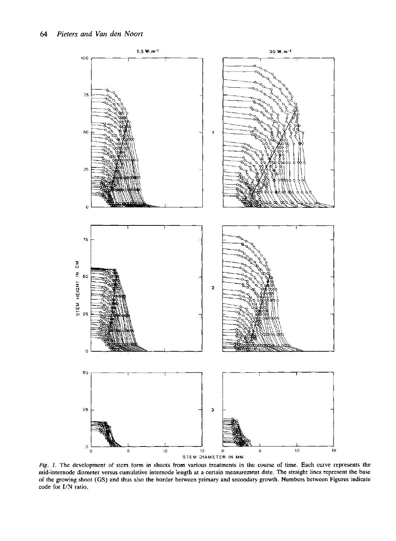

*Fig. 1.* The development of stem form in shoots from various treatments in the course of time. Each curve represents the mid-internode diameter versus cumulative internode length at a certain measurement date. The straight lines represent the base of the growing shoot (GS) and thus also the border between primary and secondary growth. Numbers between Figures indicate code for I/N ratio.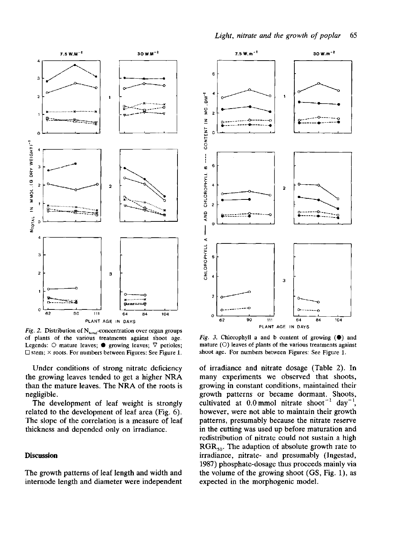

*Fig. 2.* Distribution of  $N_{total}$ -concentration over organ groups of plants of the various treatments against shoot age. Legends:  $\circ$  mature leaves;  $\bullet$  growing leaves;  $\nabla$  petioles;  $\square$  stem;  $\times$  roots. For numbers between Figures: See Figure 1.

Under conditions of strong nitrate deficiency the growing leaves tended to get a higher NRA than the mature leaves. The NRA of the roots is negligible.

The development of leaf weight is strongly related to the development of leaf area (Fig. 6). The slope of the correlation is a measure of leaf thickness and depended only on irradiance.

### **Discussion**

The growth patterns of leaf length and width and internode length and diameter were independent



*Fig. 3.* Chlorophyll a and b content of growing  $(①)$  and mature  $( \circ )$  leaves of plants of the various treatments against shoot age. For numbers between Figures: See Figure 1.

of irradiance and nitrate dosage (Table 2). In many experiments we observed that shoots, growing in constant conditions, maintained their growth patterns or became dormant. Shoots, cultivated at  $0.0$  mmol nitrate shoot<sup>-1</sup> day however, were not able to maintain their growth patterns, presumably because the nitrate reserve in the cutting was used up before maturation and redistribution of nitrate could not sustain a high  $RGR<sub>50</sub>$ . The adaption of absolute growth rate to irradiance, nitrate- and presumably (Ingestad, 1987) phosphate-dosage thus proceeds mainly via the volume of the growing shoot (GS, Fig. 1), as expected in the morphogenic model.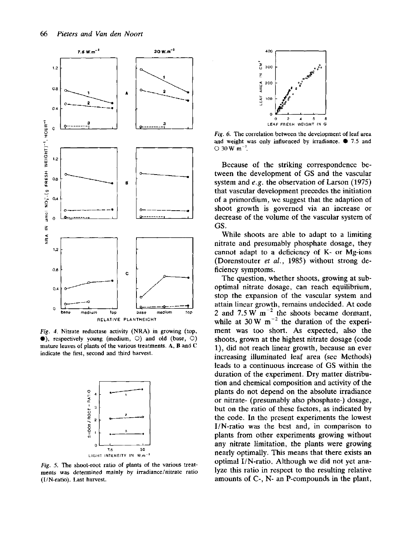

*Fig. 4.* Nitrate reductase activity (NRA) in growing (top,  $\bullet$ ), respectively young (medium,  $\circ$ ) and old (base,  $\circ$ ) mature leaves of plants of the various treatments. A, B and C indicate the first, second and third harvest.



*Fig.* 5. The shoot-root ratio of plants of the various treatments was determined mainly by irradiance/nitrate ratio (I/N-ratio). Last harvest.



*Fig. 6.* The correlation between the development of leaf area and weight was only influenced by irradiance.  $\bullet$  7.5 and  $\circ$  30 W m<sup>-</sup>

Because of the striking correspondence between the development of GS and the vascular system and *e.g.* the observation of Larson (1975) that vascular development precedes the initiation of a primordium, we suggest that the adaption of shoot growth is governed via an increase or decrease of the volume of the vascular system of GS.

While shoots are able to adapt to a limiting nitrate and presumably phosphate dosage, they cannot adapt to a deficiency of K- or Mg-ions (Dorenstouter *et al.,* 1985) without strong deficiency symptoms.

The question, whether shoots, growing at suboptimal nitrate dosage, can reach equilibrium, stop the expansion of the vascular system and attain linear growth, remains undecided. At code 2 and 7.5 W  $\text{m}^{-2}$  the shoots became dorn while at 30 W  $m^{-2}$  the duration of the experience ment was too short. As expected, also the shoots, grown at the highest nitrate dosage (code 1), did not reach linear growth, because an ever increasing illuminated leaf area (see Methods) leads to a continuous increase of GS within the duration of the experiment. Dry matter distribution and chemical composition and activity of the plants do not depend on the absolute irradiance or nitrate- (presumably also phosphate-) dosage, but on the ratio of these factors, as indicated by the code. In the present experiments the lowest I/N-ratio was the best and, in comparison to plants from other experiments growing without any nitrate limitation, the plants were growing nearly optimally. This means that there exists an optimal I/N-ratio. Although we did not yet analyze this ratio in respect to the resulting relative amounts of C-, N- an P-compounds in the plant,